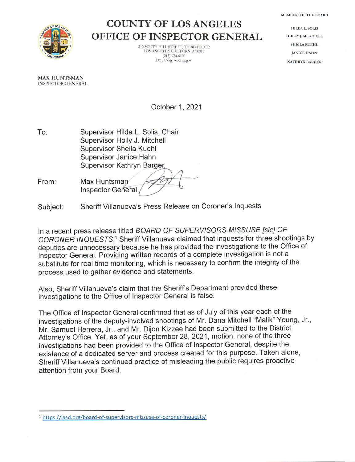**MEMBERS OF THE BOARD** 



## **COUNTY OF LOS ANGELES OFFICE OF INSPECTOR GENERAL**

312 SOUTH HILL STREET, THIRD FLOOR LOS ANGELES, CALIFORNIA 90013  $(213)$  974-6100 http://oig.lacounty.gov

**HILDA L. SOLIS** HOLLY J. MITCHELL SHEILA KUEHL **JANICE HAHN KATHRYN BARGER** 

**MAX HUNTSMAN INSPECTOR GENERAL** 

October 1, 2021

 $To:$ Supervisor Hilda L. Solis, Chair Supervisor Holly J. Mitchell Supervisor Sheila Kuehl Supervisor Janice Hahn Supervisor Kathryn Barger

From: Max Huntsman **Inspector General** 

Sheriff Villanueva's Press Release on Coroner's Inquests Subject:

In a recent press release titled BOARD OF SUPERVISORS MISSUSE [sic] OF CORONER INQUESTS.<sup>1</sup> Sheriff Villanueva claimed that inquests for three shootings by deputies are unnecessary because he has provided the investigations to the Office of Inspector General. Providing written records of a complete investigation is not a substitute for real time monitoring, which is necessary to confirm the integrity of the process used to gather evidence and statements.

Also, Sheriff Villanueva's claim that the Sheriff's Department provided these investigations to the Office of Inspector General is false.

The Office of Inspector General confirmed that as of July of this year each of the investigations of the deputy-involved shootings of Mr. Dana Mitchell "Malik" Young, Jr., Mr. Samuel Herrera, Jr., and Mr. Dijon Kizzee had been submitted to the District Attorney's Office. Yet, as of your September 28, 2021, motion, none of the three investigations had been provided to the Office of Inspector General, despite the existence of a dedicated server and process created for this purpose. Taken alone, Sheriff Villanueva's continued practice of misleading the public requires proactive attention from your Board.

<sup>&</sup>lt;sup>1</sup> https://lasd.org/board-of-supervisors-missuse-of-coroner-inquests/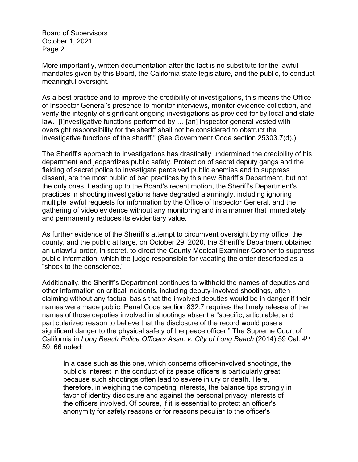Board of Supervisors October 1, 2021 Page 2

More importantly, written documentation after the fact is no substitute for the lawful mandates given by this Board, the California state legislature, and the public, to conduct meaningful oversight.

As a best practice and to improve the credibility of investigations, this means the Office of Inspector General's presence to monitor interviews, monitor evidence collection, and verify the integrity of significant ongoing investigations as provided for by local and state law. "[I]nvestigative functions performed by … [an] inspector general vested with oversight responsibility for the sheriff shall not be considered to obstruct the investigative functions of the sheriff." (See Government Code section 25303.7(d).)

The Sheriff's approach to investigations has drastically undermined the credibility of his department and jeopardizes public safety. Protection of secret deputy gangs and the fielding of secret police to investigate perceived public enemies and to suppress dissent, are the most public of bad practices by this new Sheriff's Department, but not the only ones. Leading up to the Board's recent motion, the Sheriff's Department's practices in shooting investigations have degraded alarmingly, including ignoring multiple lawful requests for information by the Office of Inspector General, and the gathering of video evidence without any monitoring and in a manner that immediately and permanently reduces its evidentiary value.

As further evidence of the Sheriff's attempt to circumvent oversight by my office, the county, and the public at large, on October 29, 2020, the Sheriff's Department obtained an unlawful order, in secret, to direct the County Medical Examiner-Coroner to suppress public information, which the judge responsible for vacating the order described as a "shock to the conscience."

Additionally, the Sheriff's Department continues to withhold the names of deputies and other information on critical incidents, including deputy-involved shootings, often claiming without any factual basis that the involved deputies would be in danger if their names were made public. Penal Code section 832.7 requires the timely release of the names of those deputies involved in shootings absent a "specific, articulable, and particularized reason to believe that the disclosure of the record would pose a significant danger to the physical safety of the peace officer." The Supreme Court of California in *Long Beach Police Officers Assn. v. City of Long Beach* (2014) 59 Cal. 4th 59, 66 noted:

In a case such as this one, which concerns officer-involved shootings, the public's interest in the conduct of its peace officers is particularly great because such shootings often lead to severe injury or death. Here, therefore, in weighing the competing interests, the balance tips strongly in favor of identity disclosure and against the personal privacy interests of the officers involved. Of course, if it is essential to protect an officer's anonymity for safety reasons or for reasons peculiar to the officer's